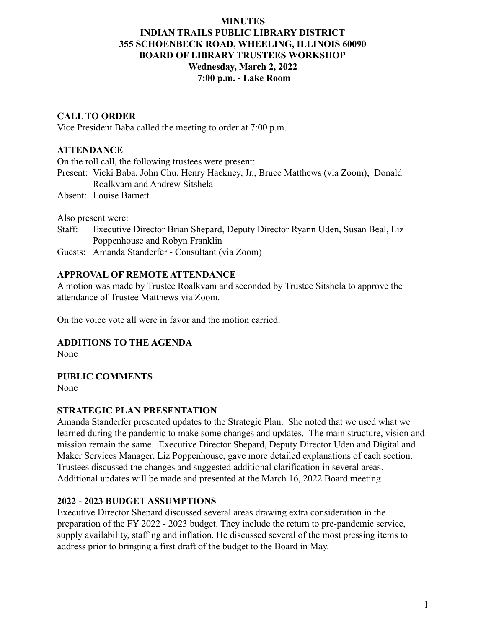### **MINUTES INDIAN TRAILS PUBLIC LIBRARY DISTRICT 355 SCHOENBECK ROAD, WHEELING, ILLINOIS 60090 BOARD OF LIBRARY TRUSTEES WORKSHOP Wednesday, March 2, 2022 7:00 p.m. - Lake Room**

# **CALL TO ORDER**

Vice President Baba called the meeting to order at 7:00 p.m.

#### **ATTENDANCE**

On the roll call, the following trustees were present:

- Present: Vicki Baba, John Chu, Henry Hackney, Jr., Bruce Matthews (via Zoom), Donald Roalkvam and Andrew Sitshela
- Absent: Louise Barnett

Also present were:

- Staff: Executive Director Brian Shepard, Deputy Director Ryann Uden, Susan Beal, Liz Poppenhouse and Robyn Franklin
- Guests: Amanda Standerfer Consultant (via Zoom)

### **APPROVAL OF REMOTE ATTENDANCE**

A motion was made by Trustee Roalkvam and seconded by Trustee Sitshela to approve the attendance of Trustee Matthews via Zoom.

On the voice vote all were in favor and the motion carried.

### **ADDITIONS TO THE AGENDA**

None

### **PUBLIC COMMENTS**

None

#### **STRATEGIC PLAN PRESENTATION**

Amanda Standerfer presented updates to the Strategic Plan. She noted that we used what we learned during the pandemic to make some changes and updates. The main structure, vision and mission remain the same. Executive Director Shepard, Deputy Director Uden and Digital and Maker Services Manager, Liz Poppenhouse, gave more detailed explanations of each section. Trustees discussed the changes and suggested additional clarification in several areas. Additional updates will be made and presented at the March 16, 2022 Board meeting.

### **2022 - 2023 BUDGET ASSUMPTIONS**

Executive Director Shepard discussed several areas drawing extra consideration in the preparation of the FY 2022 - 2023 budget. They include the return to pre-pandemic service, supply availability, staffing and inflation. He discussed several of the most pressing items to address prior to bringing a first draft of the budget to the Board in May.